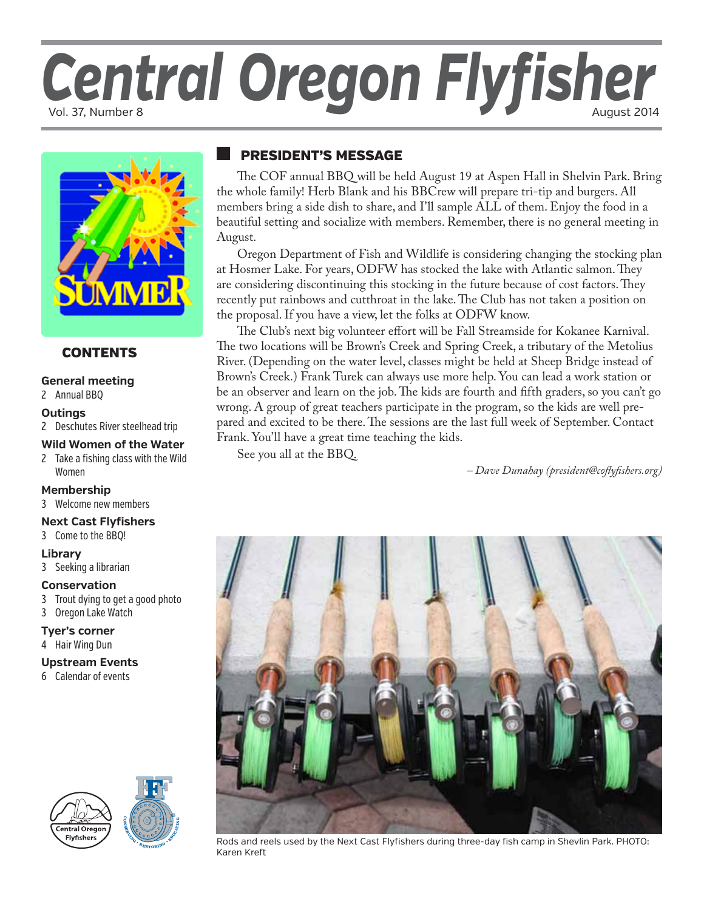# Central Oregon Flyfisher



#### **CONTENTS**

#### **[General meeting](#page-1-0)**

#### 2 Annual BBQ

#### **O[utings](#page-1-0)**

2 [Deschutes River steelhead trip](#page-1-0)

#### **W[ild Women of the Water](#page-1-0)**

2 [Take a fishing class with the Wild](#page-1-0)  [Women](#page-1-0)

#### **[Membership](#page-2-0)**

[3](#page-2-0) Welcome new members

#### **[Next Cast Flyfishers](#page-2-0)**

3 Come to the BBQ!

#### **L[ibrary](#page-2-0)**

3 Seeking a librarian

#### **[Conservation](#page-2-0)**

- 3 [Trout dying to get a good photo](#page-2-0)
- 3 Oregon Lake Watch

#### **T[yer's corner](#page-3-0)**

4 [Hair Wing Dun](#page-3-0)

#### **[Upstream Events](#page-3-0)**

6 [Calendar of events](#page-3-0)





### president's message

The COF annual BBQ will be held August 19 at Aspen Hall in Shelvin Park. Bring the whole family! Herb Blank and his BBCrew will prepare tri-tip and burgers. All members bring a side dish to share, and I'll sample ALL of them. Enjoy the food in a beautiful setting and socialize with members. Remember, there is no general meeting in August.

Oregon Department of Fish and Wildlife is considering changing the stocking plan at Hosmer Lake. For years, ODFW has stocked the lake with Atlantic salmon. They are considering discontinuing this stocking in the future because of cost factors. They recently put rainbows and cutthroat in the lake. The Club has not taken a position on the proposal. If you have a view, let the folks at ODFW know.

The Club's next big volunteer effort will be Fall Streamside for Kokanee Karnival. The two locations will be Brown's Creek and Spring Creek, a tributary of the Metolius River. (Depending on the water level, classes might be held at Sheep Bridge instead of Brown's Creek.) Frank Turek can always use more help. You can lead a work station or be an observer and learn on the job. The kids are fourth and fifth graders, so you can't go wrong. A group of great teachers participate in the program, so the kids are well prepared and excited to be there. The sessions are the last full week of September. Contact Frank. You'll have a great time teaching the kids.

See you all at the BBQ.

*– Dave Dunahay (president@coflyfishers.org)*



Rods and reels used by the Next Cast Flyfishers during three-day fish camp in Shevlin Park. PHOTO: Karen Kreft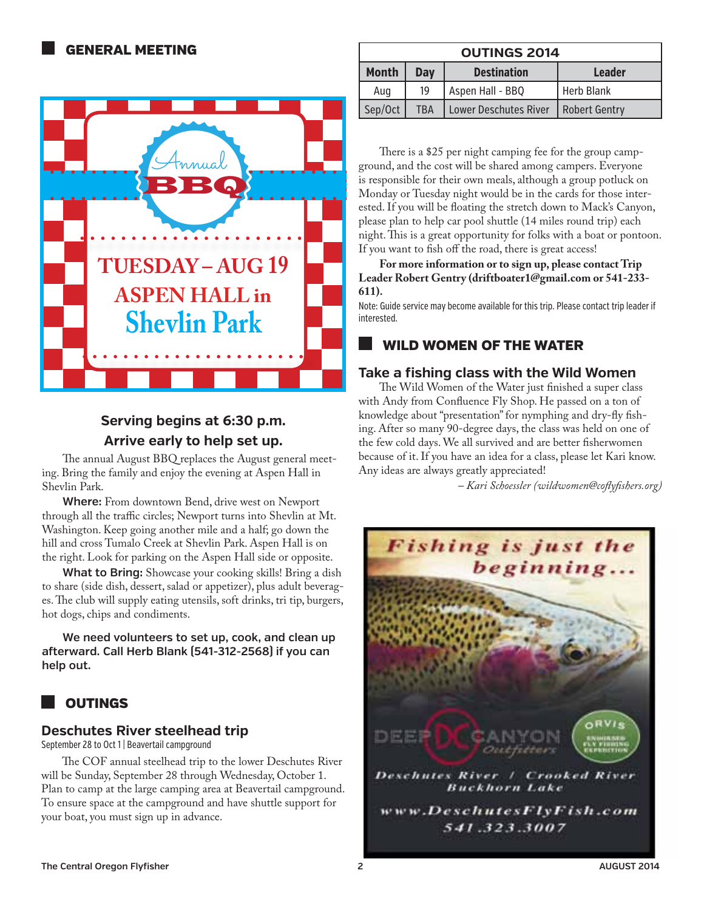<span id="page-1-0"></span>

#### **Serving begins at 6:30 p.m. Arrive early to help set up.**

The annual August BBQ replaces the August general meeting. Bring the family and enjoy the evening at Aspen Hall in Shevlin Park.

**Where:** From downtown Bend, drive west on Newport through all the traffic circles; Newport turns into Shevlin at Mt. Washington. Keep going another mile and a half; go down the hill and cross Tumalo Creek at Shevlin Park. Aspen Hall is on the right. Look for parking on the Aspen Hall side or opposite.

**What to Bring:** Showcase your cooking skills! Bring a dish to share (side dish, dessert, salad or appetizer), plus adult beverages. The club will supply eating utensils, soft drinks, tri tip, burgers, hot dogs, chips and condiments.

**We need volunteers to set up, cook, and clean up afterward. Call Herb Blank (541-312-2568) if you can help out.**

## **OUTINGS**

#### **Deschutes River steelhead trip**

September 28 to Oct 1 | Beavertail campground

The COF annual steelhead trip to the lower Deschutes River will be Sunday, September 28 through Wednesday, October 1. Plan to camp at the large camping area at Beavertail campground. To ensure space at the campground and have shuttle support for your boat, you must sign up in advance.

| <b>OUTINGS 2014</b> |                                            |                    |                      |  |  |
|---------------------|--------------------------------------------|--------------------|----------------------|--|--|
| <b>Month</b>        | Day                                        | <b>Destination</b> | <b>Leader</b>        |  |  |
| Aug                 | 19                                         | Aspen Hall - BBQ   | <b>Herb Blank</b>    |  |  |
| Sep/Oct             | <b>Lower Deschutes River</b><br><b>TBA</b> |                    | <b>Robert Gentry</b> |  |  |

There is a \$25 per night camping fee for the group campground, and the cost will be shared among campers. Everyone is responsible for their own meals, although a group potluck on Monday or Tuesday night would be in the cards for those interested. If you will be floating the stretch down to Mack's Canyon, please plan to help car pool shuttle (14 miles round trip) each night. This is a great opportunity for folks with a boat or pontoon. If you want to fish off the road, there is great access!

**For more information or to sign up, please contact Trip Leader Robert Gentry (driftboater1@gmail.com or 541-233- 611).**

Note: Guide service may become available for this trip. Please contact trip leader if interested.

#### wild women of the water

#### **Take a fishing class with the Wild Women**

The Wild Women of the Water just finished a super class with Andy from Confluence Fly Shop. He passed on a ton of knowledge about "presentation" for nymphing and dry-fly fishing. After so many 90-degree days, the class was held on one of the few cold days. We all survived and are better fisherwomen because of it. If you have an idea for a class, please let Kari know. Any ideas are always greatly appreciated!

*– Kari Schoessler (wildwomen@coflyfishers.org)*

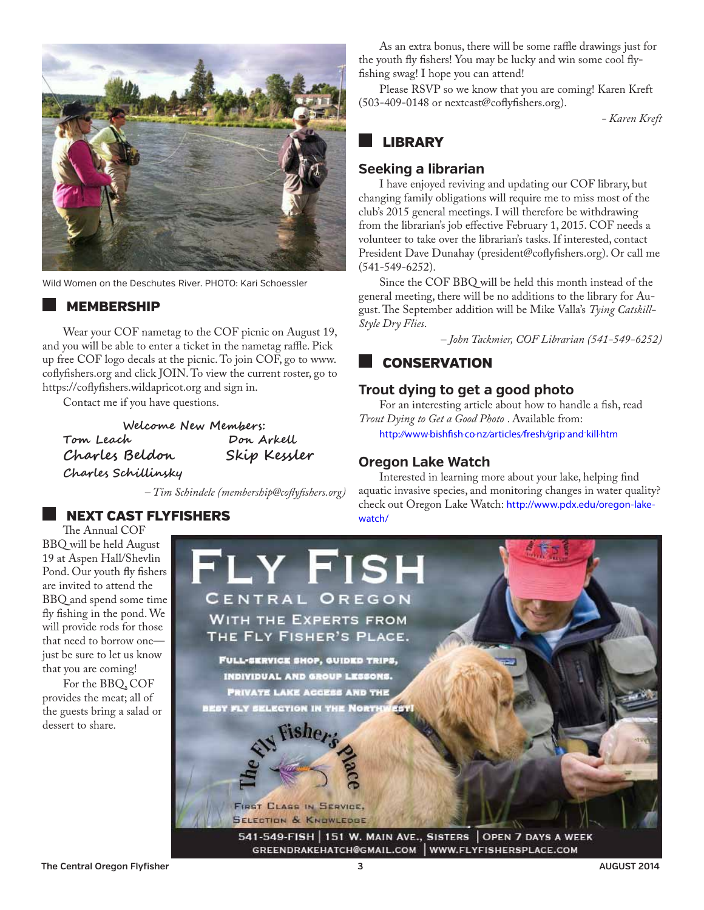<span id="page-2-0"></span>

Wild Women on the Deschutes River. PHOTO: Kari Schoessler

#### **MEMBERSHIP**

Wear your COF nametag to the COF picnic on August 19, and you will be able to enter a ticket in the nametag raffle. Pick up free COF logo decals at the picnic. To join COF, go to www. coflyfishers.org and click JOIN. To view the current roster, go to https://coflyfishers.wildapricot.org and sign in.

Contact me if you have questions.

**Welcome New Members: Tom Leach Don Arkell Charles Beldon Charles Schillinsky**

*– Tim Schindele (membership@coflyfishers.org)* 

#### The Annual COF

next cast flyfishers

BBQ will be held August 19 at Aspen Hall/Shevlin Pond. Our youth fly fishers are invited to attend the BBQ and spend some time fly fishing in the pond. We will provide rods for those that need to borrow one just be sure to let us know that you are coming!

For the BBQ, COF provides the meat; all of the guests bring a salad or dessert to share.

As an extra bonus, there will be some raffle drawings just for the youth fly fishers! You may be lucky and win some cool flyfishing swag! I hope you can attend!

Please RSVP so we know that you are coming! Karen Kreft (503-409-0148 or nextcast@coflyfishers.org).

*- Karen Kreft*

#### **LIBRARY**

#### **Seeking a librarian**

I have enjoyed reviving and updating our COF library, but changing family obligations will require me to miss most of the club's 2015 general meetings. I will therefore be withdrawing from the librarian's job effective February 1, 2015. COF needs a volunteer to take over the librarian's tasks. If interested, contact President Dave Dunahay (president@coflyfishers.org). Or call me (541-549-6252).

Since the COF BBQ will be held this month instead of the general meeting, there will be no additions to the library for August. The September addition will be Mike Valla's *Tying Catskill-Style Dry Flies*.

*– John Tackmier, COF Librarian (541-549-6252)*

#### **CONSERVATION**

#### **Trout dying to get a good photo**

For an interesting article about how to handle a fish, read *Trout Dying to Get a Good Photo* . Available from:

[http://www.bishfish.co.nz /articles/fresh/grip-and-kill.htm](http://www.bishfish.co.nz/articles/fresh/grip-and-kill.htm)

#### **Oregon Lake Watch**

Interested in learning more about your lake, helping find aquatic invasive species, and monitoring changes in water quality? check out Oregon Lake Watch: [http://www.pdx.edu/oregon-lake](http://www.pdx.edu/oregon-lake-watch/)[watch/](http://www.pdx.edu/oregon-lake-watch/)

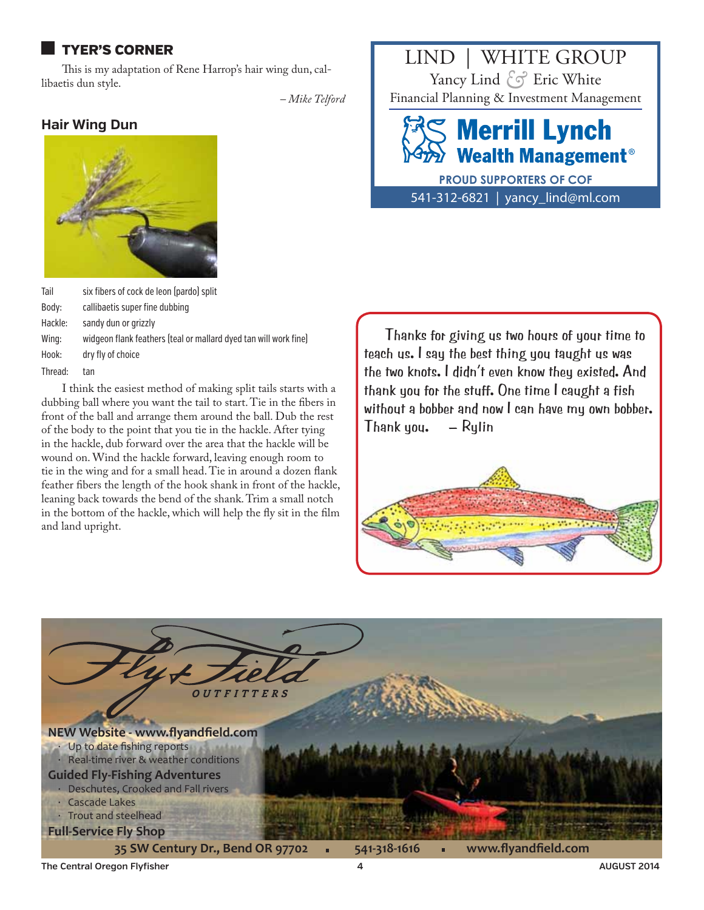#### <span id="page-3-0"></span>tyer's corner

This is my adaptation of Rene Harrop's hair wing dun, callibaetis dun style.

*– Mike Telford*

#### **Hair Wing Dun**



| Tail    | six fibers of cock de leon (pardo) split                         |  |  |  |
|---------|------------------------------------------------------------------|--|--|--|
| Body:   | callibaetis super fine dubbing                                   |  |  |  |
| Hackle: | sandy dun or grizzly                                             |  |  |  |
| Wing:   | widgeon flank feathers (teal or mallard dyed tan will work fine) |  |  |  |
| Hook:   | dry fly of choice                                                |  |  |  |
| Thread: | tan                                                              |  |  |  |
|         | I think the easiest method of making split tails starts          |  |  |  |

I think the easiest method of making split tails starts with a dubbing ball where you want the tail to start. Tie in the fibers in front of the ball and arrange them around the ball. Dub the rest of the body to the point that you tie in the hackle. After tying in the hackle, dub forward over the area that the hackle will be wound on. Wind the hackle forward, leaving enough room to tie in the wing and for a small head. Tie in around a dozen flank feather fibers the length of the hook shank in front of the hackle, leaning back towards the bend of the shank. Trim a small notch in the bottom of the hackle, which will help the fly sit in the film and land upright.

LIND | WHITE GROUP Yancy Lind Eric White *&*  Financial Planning & Investment Management

# **Merrill Lynch Wealth Management<sup>®</sup>**

541-312-6821 | yancy\_lind@ml.com **PROUD SUPPORTERS OF COF**

Thanks for giving us two hours of your time to teach us. I say the best thing you taught us was the two knots. I didn't even know they existed. And thank you for the stuff. One time I caught a fish without a bobber and now I can have my own bobber. Thank you. – Rylin



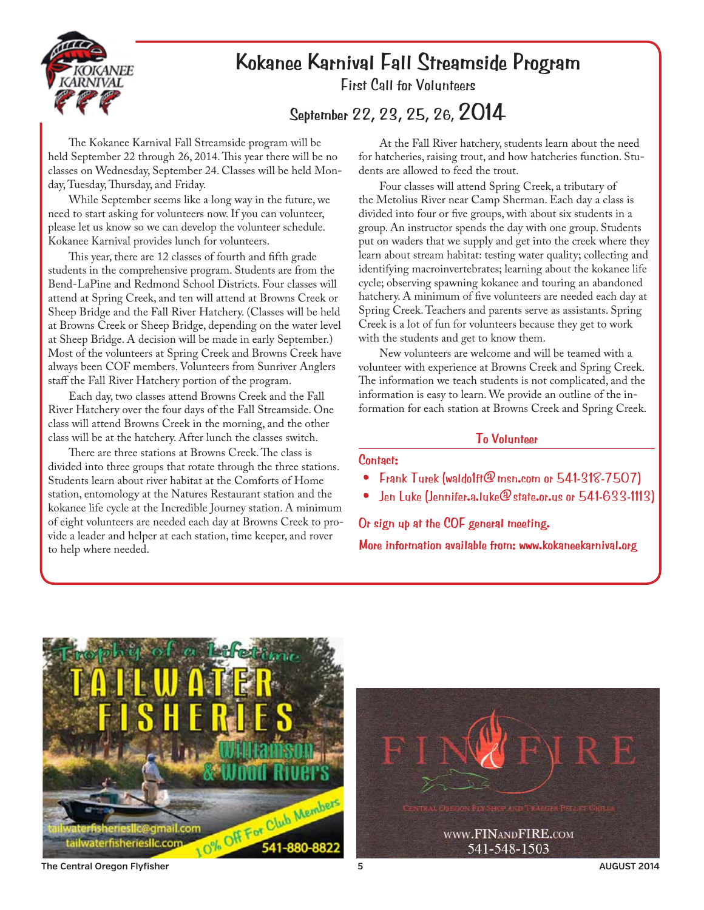

# **Kokanee Karnival Fall Streamside Program**

First Call for Volunteers

**September 22, 23, 25, 26, 2014**

The Kokanee Karnival Fall Streamside program will be held September 22 through 26, 2014. This year there will be no classes on Wednesday, September 24. Classes will be held Monday, Tuesday, Thursday, and Friday.

While September seems like a long way in the future, we need to start asking for volunteers now. If you can volunteer, please let us know so we can develop the volunteer schedule. Kokanee Karnival provides lunch for volunteers.

This year, there are 12 classes of fourth and fifth grade students in the comprehensive program. Students are from the Bend-LaPine and Redmond School Districts. Four classes will attend at Spring Creek, and ten will attend at Browns Creek or Sheep Bridge and the Fall River Hatchery. (Classes will be held at Browns Creek or Sheep Bridge, depending on the water level at Sheep Bridge. A decision will be made in early September.) Most of the volunteers at Spring Creek and Browns Creek have always been COF members. Volunteers from Sunriver Anglers staff the Fall River Hatchery portion of the program.

Each day, two classes attend Browns Creek and the Fall River Hatchery over the four days of the Fall Streamside. One class will attend Browns Creek in the morning, and the other class will be at the hatchery. After lunch the classes switch.

There are three stations at Browns Creek. The class is divided into three groups that rotate through the three stations. Students learn about river habitat at the Comforts of Home station, entomology at the Natures Restaurant station and the kokanee life cycle at the Incredible Journey station. A minimum of eight volunteers are needed each day at Browns Creek to provide a leader and helper at each station, time keeper, and rover to help where needed.

At the Fall River hatchery, students learn about the need for hatcheries, raising trout, and how hatcheries function. Students are allowed to feed the trout.

Four classes will attend Spring Creek, a tributary of the Metolius River near Camp Sherman. Each day a class is divided into four or five groups, with about six students in a group. An instructor spends the day with one group. Students put on waders that we supply and get into the creek where they learn about stream habitat: testing water quality; collecting and identifying macroinvertebrates; learning about the kokanee life cycle; observing spawning kokanee and touring an abandoned hatchery. A minimum of five volunteers are needed each day at Spring Creek. Teachers and parents serve as assistants. Spring Creek is a lot of fun for volunteers because they get to work with the students and get to know them.

New volunteers are welcome and will be teamed with a volunteer with experience at Browns Creek and Spring Creek. The information we teach students is not complicated, and the information is easy to learn. We provide an outline of the information for each station at Browns Creek and Spring Creek.

#### **To Volunteer**

#### **Contact:**

- Frank Turek (waldo1ft@msn.com or 541-318-7507)
- Jen Luke (Jennifer.a.luke@state.or.us or 541-633-1113)

**Or sign up at the COF general meeting.** 

**More information available from: www.kokaneekarnival.org**